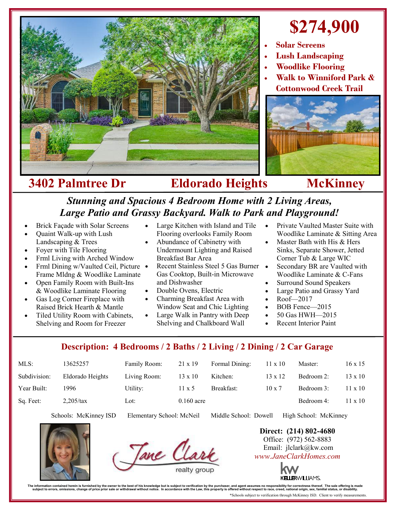

## **\$274,900**

- **Solar Screens**
- **Lush Landscaping**
- **Woodlike Flooring**
- **Walk to Winniford Park & Cottonwood Creek Trail**



## **3402 Palmtree Dr Eldorado Heights McKinney**

## *Stunning and Spacious 4 Bedroom Home with 2 Living Areas, Large Patio and Grassy Backyard. Walk to Park and Playground!*

- Brick Façade with Solar Screens
- Quaint Walk-up with Lush Landscaping & Trees
- Foyer with Tile Flooring
- Frml Living with Arched Window
- Frml Dining w/Vaulted Ceil, Picture Frame Mldng & Woodlike Laminate
- Open Family Room with Built-Ins & Woodlike Laminate Flooring
- Gas Log Corner Fireplace with Raised Brick Hearth & Mantle
- Tiled Utility Room with Cabinets, Shelving and Room for Freezer
- Large Kitchen with Island and Tile Flooring overlooks Family Room
- Abundance of Cabinetry with Undermount Lighting and Raised Breakfast Bar Area
- Recent Stainless Steel 5 Gas Burner . Gas Cooktop, Built-in Microwave and Dishwasher
- Double Ovens, Electric
- Charming Breakfast Area with Window Seat and Chic Lighting
- Large Walk in Pantry with Deep Shelving and Chalkboard Wall
- Private Vaulted Master Suite with Woodlike Laminate & Sitting Area
- Master Bath with His & Hers Sinks, Separate Shower, Jetted Corner Tub & Large WIC
- Secondary BR are Vaulted with Woodlike Laminate & C-Fans
- Surround Sound Speakers
- Large Patio and Grassy Yard
- Roof—2017
- BOB Fence—2015
- 50 Gas HWH-2015
- Recent Interior Paint

## **Description: 4 Bedrooms / 2 Baths / 2 Living / 2 Dining / 2 Car Garage**

| $MLS$ :      | 13625257         | Family Room: | $21 \times 19$ | Formal Dining: | $11 \times 10$ | Master:    | $16 \times 15$ |
|--------------|------------------|--------------|----------------|----------------|----------------|------------|----------------|
| Subdivision: | Eldorado Heights | Living Room: | $13 \times 10$ | Kitchen:       | $13 \times 12$ | Bedroom 2: | $13 \times 10$ |
| Year Built:  | 1996             | Utility:     | $11 \times 5$  | Breakfast:     | $10 \times 7$  | Bedroom 3: | $11 \times 10$ |
| Sq. Feet:    | $2,205$ /tax     | Lot:         | $0.160$ acre   |                |                | Bedroom 4: | $11 \times 10$ |

Schools: McKinney ISD Elementary School: McNeil Middle School: Dowell High School: McKinney





**Direct: (214) 802-4680** Office: (972) 562-8883 Email: jlclark@kw.com *www.JaneClarkHomes.com*



The information contained herein is furnished by the owner to the best of his knowledge but is subject to verification by the purchaser, and agent assumes no responsibility for correctness thereof. The sale offering is mad \*Schools subject to verification through McKinney ISD. Client to verify measurements.